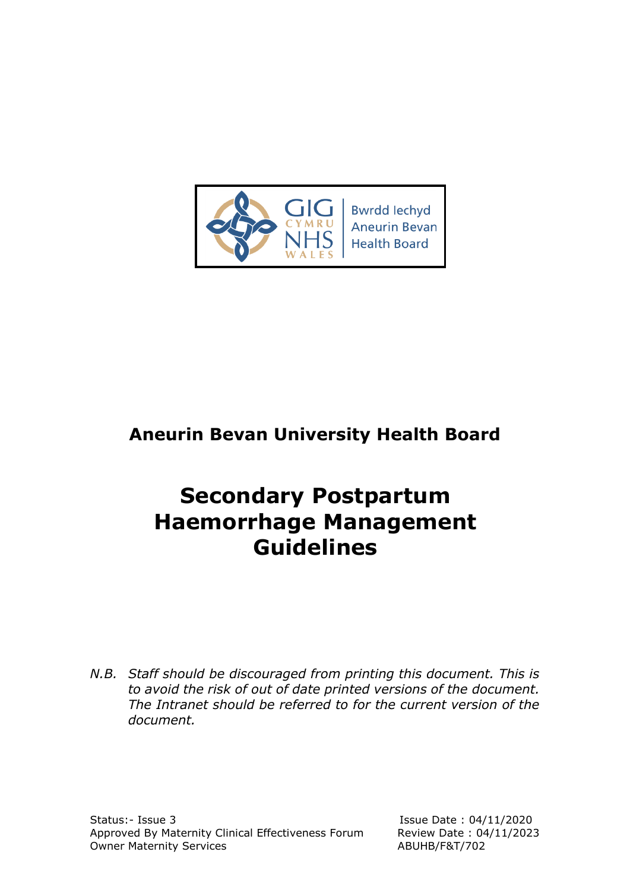

# **Aneurin Bevan University Health Board**

# **Secondary Postpartum Haemorrhage Management Guidelines**

*N.B. Staff should be discouraged from printing this document. This is to avoid the risk of out of date printed versions of the document. The Intranet should be referred to for the current version of the document.*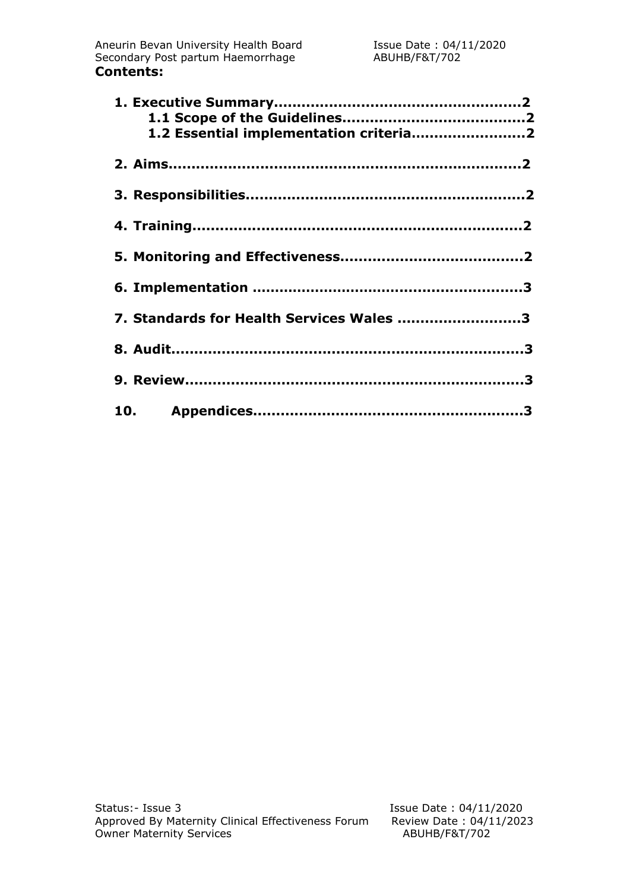| 1.2 Essential implementation criteria2   |  |
|------------------------------------------|--|
|                                          |  |
|                                          |  |
|                                          |  |
|                                          |  |
|                                          |  |
| 7. Standards for Health Services Wales 3 |  |
|                                          |  |
|                                          |  |
|                                          |  |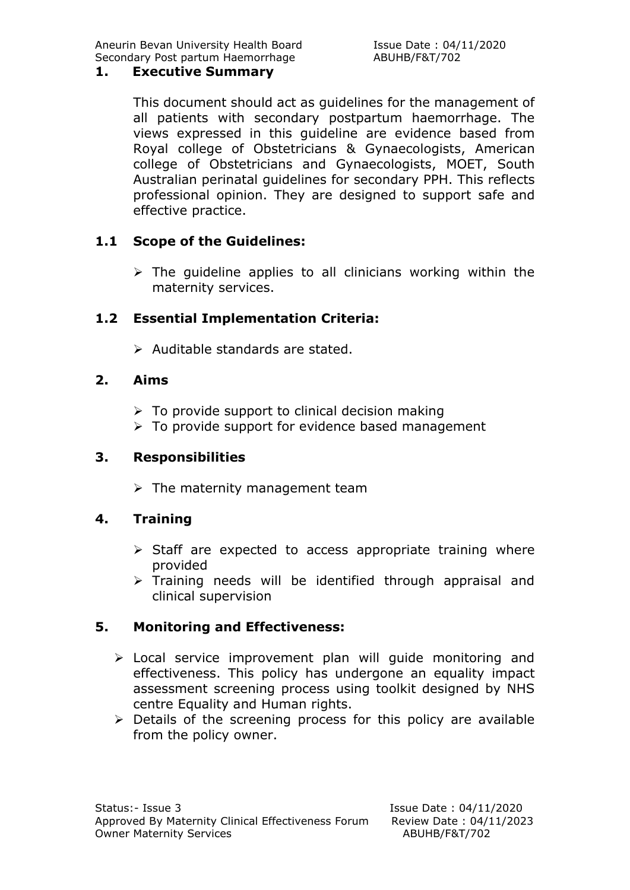Aneurin Bevan University Health Board Issue Date: 04/11/2020 Secondary Post partum Haemorrhage ABUHB/F&T/702

#### **1. Executive Summary**

This document should act as guidelines for the management of all patients with secondary postpartum haemorrhage. The views expressed in this guideline are evidence based from Royal college of Obstetricians & Gynaecologists, American college of Obstetricians and Gynaecologists, MOET, South Australian perinatal guidelines for secondary PPH. This reflects professional opinion. They are designed to support safe and effective practice.

#### **1.1 Scope of the Guidelines:**

 $\triangleright$  The quideline applies to all clinicians working within the maternity services.

#### **1.2 Essential Implementation Criteria:**

 $\triangleright$  Auditable standards are stated.

#### **2. Aims**

- $\triangleright$  To provide support to clinical decision making
- $\triangleright$  To provide support for evidence based management

#### **3. Responsibilities**

 $\triangleright$  The maternity management team

#### **4. Training**

- $\triangleright$  Staff are expected to access appropriate training where provided
- $\triangleright$  Training needs will be identified through appraisal and clinical supervision

#### **5. Monitoring and Effectiveness:**

- > Local service improvement plan will guide monitoring and effectiveness. This policy has undergone an equality impact assessment screening process using toolkit designed by NHS centre Equality and Human rights.
- $\triangleright$  Details of the screening process for this policy are available from the policy owner.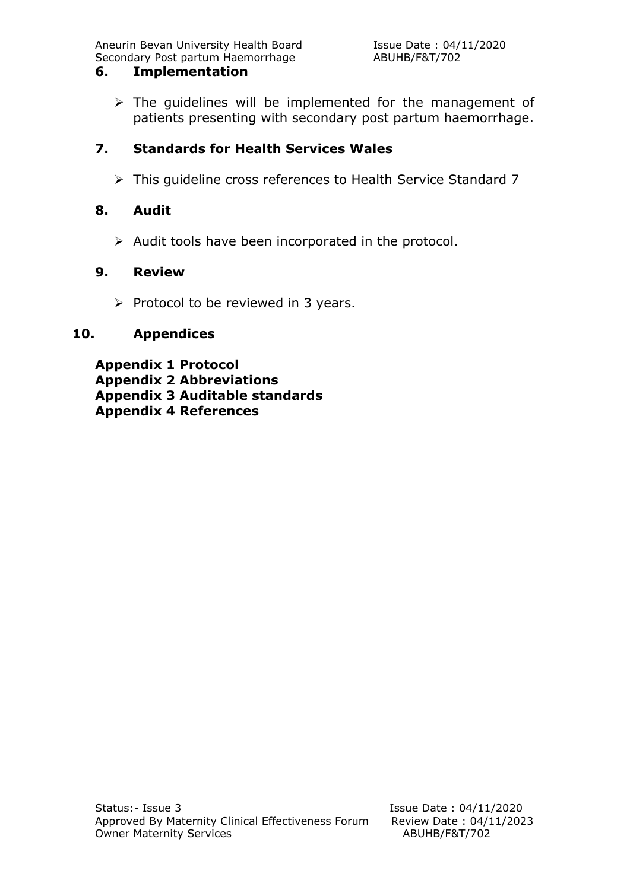Aneurin Bevan University Health Board **Issue Date : 04/11/2020** Secondary Post partum Haemorrhage ABUHB/F&T/702

#### **6. Implementation**

 $\triangleright$  The quidelines will be implemented for the management of patients presenting with secondary post partum haemorrhage.

#### **7. Standards for Health Services Wales**

This guideline cross references to Health Service Standard 7

#### **8. Audit**

 $\triangleright$  Audit tools have been incorporated in the protocol.

#### **9. Review**

 $\triangleright$  Protocol to be reviewed in 3 years.

#### **10. Appendices**

**Appendix 1 Protocol Appendix 2 Abbreviations Appendix 3 Auditable standards Appendix 4 References**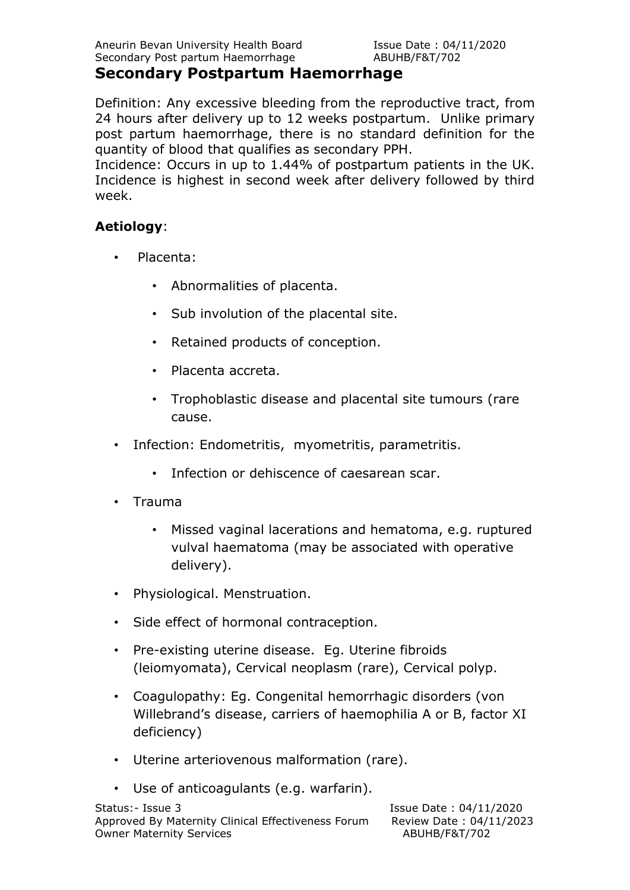#### **Secondary Postpartum Haemorrhage**

Definition: Any excessive bleeding from the reproductive tract, from 24 hours after delivery up to 12 weeks postpartum. Unlike primary post partum haemorrhage, there is no standard definition for the quantity of blood that qualifies as secondary PPH.

Incidence: Occurs in up to 1.44% of postpartum patients in the UK. Incidence is highest in second week after delivery followed by third week.

#### **Aetiology**:

- Placenta:
	- Abnormalities of placenta.
	- Sub involution of the placental site.
	- Retained products of conception.
	- Placenta accreta.
	- Trophoblastic disease and placental site tumours (rare cause.
- Infection: Endometritis, myometritis, parametritis.
	- Infection or dehiscence of caesarean scar.
- Trauma
	- Missed vaginal lacerations and hematoma, e.g. ruptured vulval haematoma (may be associated with operative delivery).
- Physiological. Menstruation.
- Side effect of hormonal contraception.
- Pre-existing uterine disease. Eq. Uterine fibroids (leiomyomata), Cervical neoplasm (rare), Cervical polyp.
- Coagulopathy: Eg. Congenital hemorrhagic disorders (von Willebrand's disease, carriers of haemophilia A or B, factor XI deficiency)
- Uterine arteriovenous malformation (rare).
- Use of anticoagulants (e.g. warfarin).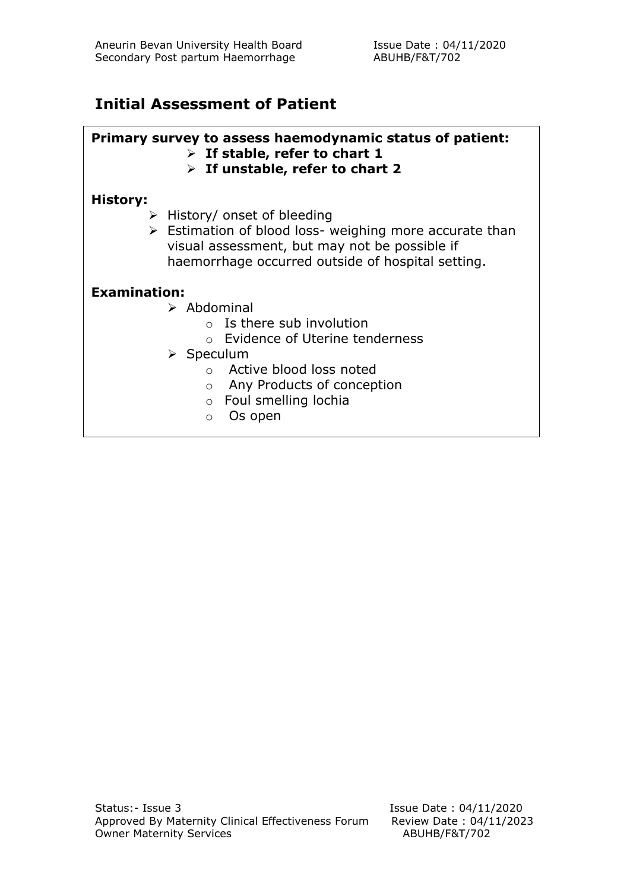### **Initial Assessment of Patient**

#### **Primary survey to assess haemodynamic status of patient:**

- **If stable, refer to chart 1**
- **If unstable, refer to chart 2**

#### **History:**

- $\triangleright$  History/ onset of bleeding
- $\triangleright$  Estimation of blood loss- weighing more accurate than visual assessment, but may not be possible if haemorrhage occurred outside of hospital setting.

#### **Examination:**

- $\triangleright$  Abdominal
	- $\circ$  Is there sub involution
	- o Evidence of Uterine tenderness
- $\triangleright$  Speculum
	- o Active blood loss noted
	- o Any Products of conception
	- o Foul smelling lochia
	- o Os open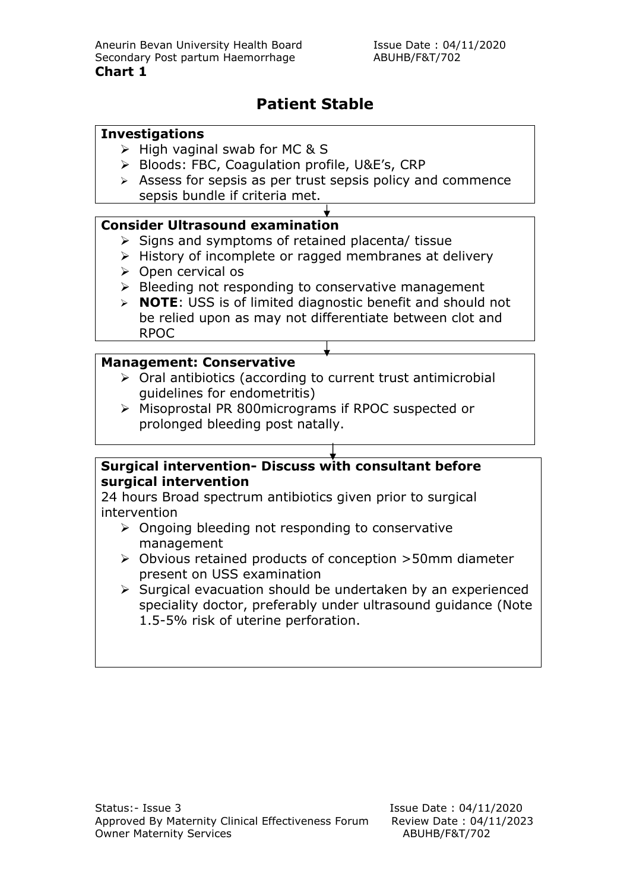### **Patient Stable**

#### **Investigations**

- $\triangleright$  High vaginal swab for MC & S
- ▶ Bloods: FBC, Coagulation profile, U&E's, CRP
- $\triangleright$  Assess for sepsis as per trust sepsis policy and commence sepsis bundle if criteria met.

#### **Consider Ultrasound examination**

- $\triangleright$  Signs and symptoms of retained placenta/ tissue
- $\triangleright$  History of incomplete or ragged membranes at delivery
- $\triangleright$  Open cervical os
- $\triangleright$  Bleeding not responding to conservative management
- **NOTE**: USS is of limited diagnostic benefit and should not be relied upon as may not differentiate between clot and RPOC

#### **Management: Conservative**

- $\triangleright$  Oral antibiotics (according to current trust antimicrobial guidelines for endometritis)
- Misoprostal PR 800micrograms if RPOC suspected or prolonged bleeding post natally.

#### **Surgical intervention- Discuss with consultant before surgical intervention**

24 hours Broad spectrum antibiotics given prior to surgical intervention

- $\triangleright$  Ongoing bleeding not responding to conservative management
- Obvious retained products of conception >50mm diameter present on USS examination
- $\triangleright$  Surgical evacuation should be undertaken by an experienced speciality doctor, preferably under ultrasound guidance (Note 1.5-5% risk of uterine perforation.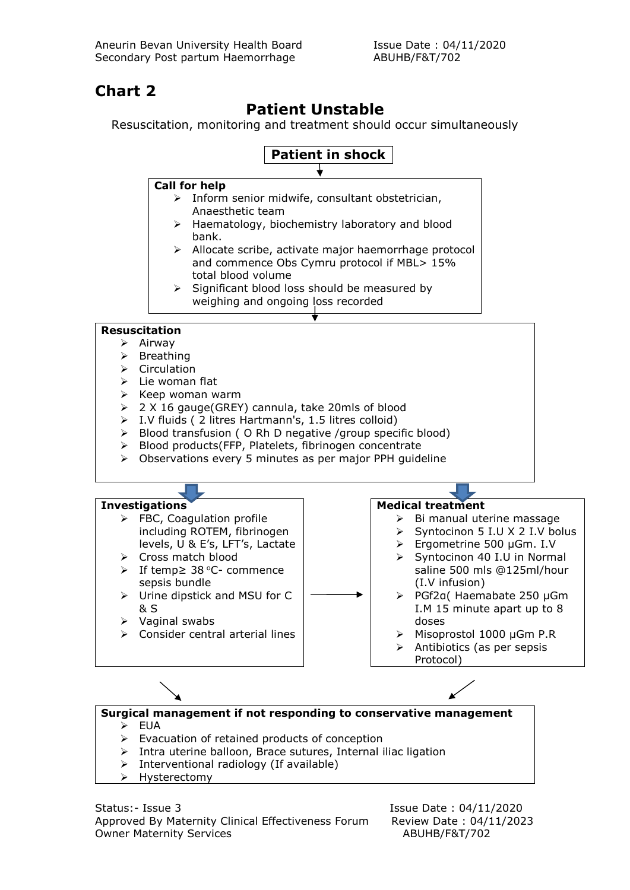## **Chart 2**

### **Patient Unstable**

Resuscitation, monitoring and treatment should occur simultaneously



Status:- Issue 3 Issue Date : 04/11/2020 Approved By Maternity Clinical Effectiveness Forum Review Date : 04/11/2023 Owner Maternity Services ABUHB/F&T/702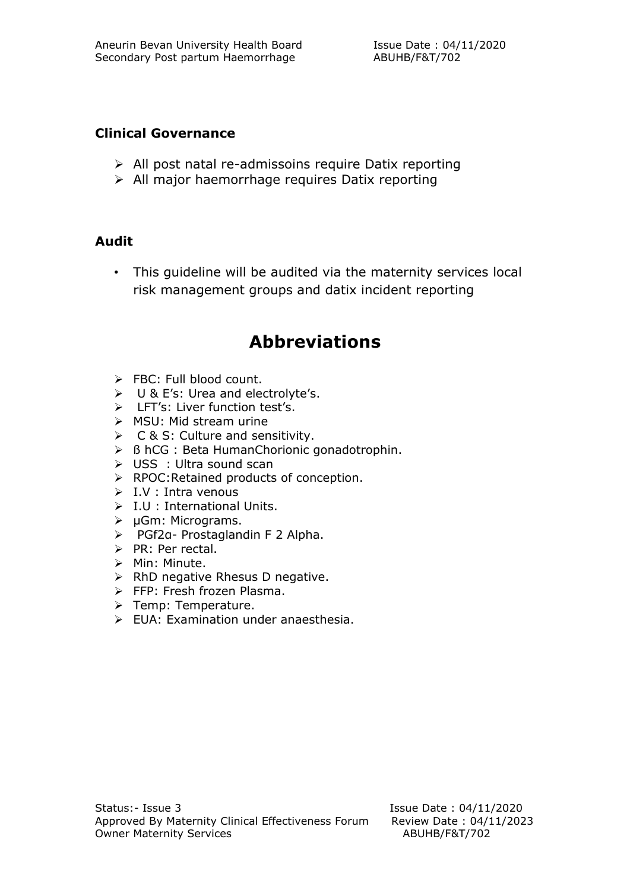#### **Clinical Governance**

- $\triangleright$  All post natal re-admissoins require Datix reporting
- $\triangleright$  All major haemorrhage requires Datix reporting

#### **Audit**

• This guideline will be audited via the maternity services local risk management groups and datix incident reporting

# **Abbreviations**

- $\triangleright$  FBC: Full blood count.
- U & E's: Urea and electrolyte's.
- > LFT's: Liver function test's.
- $\triangleright$  MSU: Mid stream urine
- $\triangleright$  C & S: Culture and sensitivity.
- ß hCG : Beta HumanChorionic gonadotrophin.
- USS : Ultra sound scan
- $\triangleright$  RPOC: Retained products of conception.
- $\triangleright$  I.V : Intra venous
- $\triangleright$  I.U : International Units.
- µGm: Micrograms.
- PGf2α- Prostaglandin F 2 Alpha.
- $\triangleright$  PR: Per rectal.
- $\triangleright$  Min: Minute.
- $\triangleright$  RhD negative Rhesus D negative.
- **FFP: Fresh frozen Plasma.**
- > Temp: Temperature.
- $\triangleright$  EUA: Examination under anaesthesia.